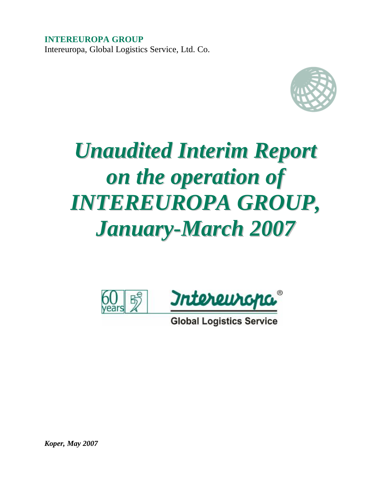**INTEREUROPA GROUP**  Intereuropa, Global Logistics Service, Ltd. Co.



# *Unaudited Interim Report on the operation of INTEREUROPA GROUP, January-March 2007*



**Global Logistics Service** 

*Koper, May 2007*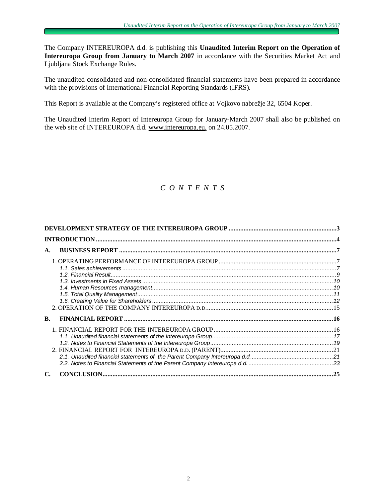The Company INTEREUROPA d.d. is publishing this **Unaudited Interim Report on the Operation of Intereuropa Group from January to March 2007** in accordance with the Securities Market Act and Ljubljana Stock Exchange Rules.

The unaudited consolidated and non-consolidated financial statements have been prepared in accordance with the provisions of International Financial Reporting Standards (IFRS).

This Report is available at the Company's registered office at Vojkovo nabrežje 32, 6504 Koper.

The Unaudited Interim Report of Intereuropa Group for January-March 2007 shall also be published on the web site of INTEREUROPA d.d. [www.intereuropa.eu,](http://www.intereuropa.eu) on 24.05.2007.

# *C O N T E N T S*

| A. |  |
|----|--|
|    |  |
| B. |  |
|    |  |
|    |  |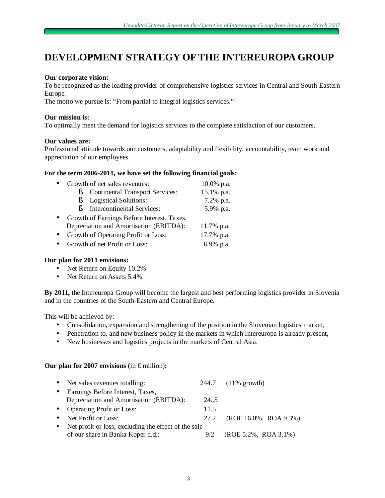# **DEVELOPMENT STRATEGY OF THE INTEREUROPA GROUP**

### **Our corporate vision:**

To be recognised as the leading provider of comprehensive logistics services in Central and South-Eastern Europe.

The motto we pursue is: "From partial to integral logistics services."

### **Our mission is:**

To optimally meet the demand for logistics services to the complete satisfaction of our customers.

### **Our values are:**

Professional attitude towards our customers, adaptability and flexibility, accountability, team work and appreciation of our employees.

### **For the term 2006-2011, we have set the following financial goals:**

| $\bullet$ | Growth of net sales revenues:               | $10.0\%$ p.a. |
|-----------|---------------------------------------------|---------------|
|           | <b>Continental Transport Services:</b><br>Ř | 15.1% p.a.    |
|           | <b>Logistical Solutions:</b>                | 7.2% p.a.     |
|           | <b>Intercontinental Services:</b><br>Ø.     | 5.9% p.a.     |
| $\bullet$ | Growth of Earnings Before Interest, Taxes,  |               |
|           | Depreciation and Amortisation (EBITDA):     | 11.7% p.a.    |
| $\bullet$ | Growth of Operating Profit or Loss:         | 17.7% p.a.    |
| $\bullet$ | Growth of net Profit or Loss:               | 6.9% p.a.     |
|           |                                             |               |

### **Our plan for 2011 envisions:**

- Net Return on Equity 10.2%
- Net Return on Assets 5.4%

**By 2011,** the Intereuropa Group will become the largest and best performing logistics provider in Slovenia and in the countries of the South-Eastern and Central Europe.

This will be achieved by:

- Consolidation, expansion and strengthening of the position in the Slovenian logistics market,
- Penetration to, and new business policy in the markets in which Intereuropa is already present,
- New businesses and logistics projects in the markets of Central Asia.

### **Our plan for 2007 envisions (in**  $\epsilon$  **million):**

|           | • Net sales revenues totalling:                      |      | 244.7 (11% growth)       |
|-----------|------------------------------------------------------|------|--------------------------|
| $\bullet$ | Earnings Before Interest, Taxes,                     |      |                          |
|           | Depreciation and Amortisation (EBITDA):              | 24.5 |                          |
|           | • Operating Profit or Loss:                          | 11.5 |                          |
| $\bullet$ | Net Profit or Loss:                                  | 27.2 | (ROE 16.0%, ROA 9.3%)    |
| $\bullet$ | Net profit or loss, excluding the effect of the sale |      |                          |
|           | of our share in Banka Koper d.d.:                    | 9.2  | $(ROE 5.2\%, ROA 3.1\%)$ |
|           |                                                      |      |                          |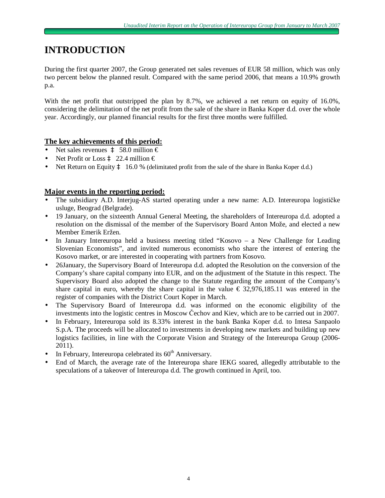# **INTRODUCTION**

During the first quarter 2007, the Group generated net sales revenues of EUR 58 million, which was only two percent below the planned result. Compared with the same period 2006, that means a 10.9% growth p.a.

With the net profit that outstripped the plan by 8.7%, we achieved a net return on equity of 16.0%, considering the delimitation of the net profit from the sale of the share in Banka Koper d.d. over the whole year. Accordingly, our planned financial results for the first three months were fulfilled.

# **The key achievements of this period:**

- Net sales revenues  $\mathbf{\hat{a}}$  58.0 million  $\epsilon$
- Net Profit or Loss  $\hat{a}$  22.4 million  $\epsilon$
- Net Return on Equity  $\hat{a}$  16.0 % (delimitated profit from the sale of the share in Banka Koper d.d.)

### **Major events in the reporting period:**

- The subsidiary A.D. Interjug-AS started operating under a new name: A.D. Intereuropa logističke usluge, Beograd (Belgrade).
- 19 January, on the sixteenth Annual General Meeting, the shareholders of Intereuropa d.d. adopted a resolution on the dismissal of the member of the Supervisory Board Anton Može, and elected a new Member Emerik Eržen.
- In January Intereuropa held a business meeting titled "Kosovo a New Challenge for Leading Slovenian Economists", and invited numerous economists who share the interest of entering the Kosovo market, or are interested in cooperating with partners from Kosovo.
- 26January, the Supervisory Board of Intereuropa d.d. adopted the Resolution on the conversion of the Company's share capital company into EUR, and on the adjustment of the Statute in this respect. The Supervisory Board also adopted the change to the Statute regarding the amount of the Company's share capital in euro, whereby the share capital in the value  $\epsilon$  32,976,185.11 was entered in the register of companies with the District Court Koper in March.
- The Supervisory Board of Intereuropa d.d. was informed on the economic eligibility of the investments into the logistic centres in Moscow Čechov and Kiev, which are to be carried out in 2007.
- In February, Intereuropa sold its 8.33% interest in the bank Banka Koper d.d. to Intesa Sanpaolo S.p.A. The proceeds will be allocated to investments in developing new markets and building up new logistics facilities, in line with the Corporate Vision and Strategy of the Intereuropa Group (2006- 2011).
- In February, Intereuropa celebrated its  $60<sup>th</sup>$  Anniversary.
- End of March, the average rate of the Intereuropa share IEKG soared, allegedly attributable to the speculations of a takeover of Intereuropa d.d. The growth continued in April, too.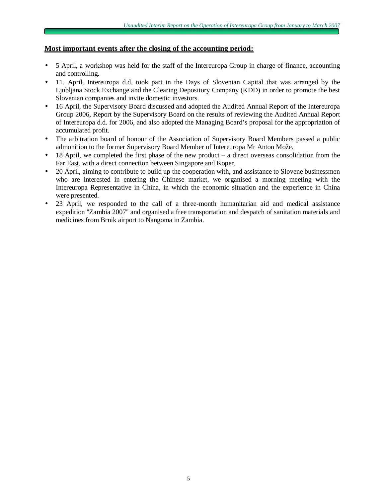### **Most important events after the closing of the accounting period:**

- 5 April, a workshop was held for the staff of the Intereuropa Group in charge of finance, accounting and controlling.
- 11. April, Intereuropa d.d. took part in the Days of Slovenian Capital that was arranged by the Ljubljana Stock Exchange and the Clearing Depository Company (KDD) in order to promote the best Slovenian companies and invite domestic investors.
- 16 April, the Supervisory Board discussed and adopted the Audited Annual Report of the Intereuropa Group 2006, Report by the Supervisory Board on the results of reviewing the Audited Annual Report of Intereuropa d.d. for 2006, and also adopted the Managing Board's proposal for the appropriation of accumulated profit.
- The arbitration board of honour of the Association of Supervisory Board Members passed a public admonition to the former Supervisory Board Member of Intereuropa Mr Anton Može.
- 18 April, we completed the first phase of the new product a direct overseas consolidation from the Far East, with a direct connection between Singapore and Koper.
- 20 April, aiming to contribute to build up the cooperation with, and assistance to Slovene businessmen who are interested in entering the Chinese market, we organised a morning meeting with the Intereuropa Representative in China, in which the economic situation and the experience in China were presented.
- 23 April, we responded to the call of a three-month humanitarian aid and medical assistance expedition ''Zambia 2007'' and organised a free transportation and despatch of sanitation materials and medicines from Brnik airport to Nangoma in Zambia.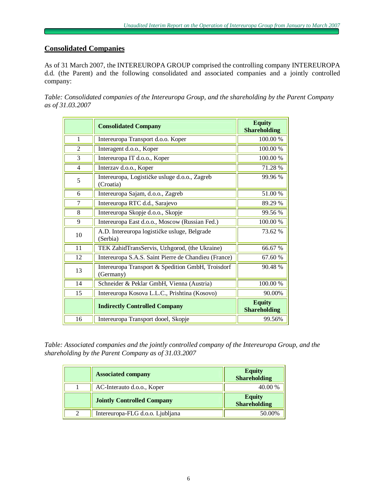# **Consolidated Companies**

As of 31 March 2007, the INTEREUROPA GROUP comprised the controlling company INTEREUROPA d.d. (the Parent) and the following consolidated and associated companies and a jointly controlled company:

*Table: Consolidated companies of the Intereuropa Group, and the shareholding by the Parent Company as of 31.03.2007*

|                | <b>Consolidated Company</b>                                    | <b>Equity</b><br><b>Shareholding</b> |
|----------------|----------------------------------------------------------------|--------------------------------------|
| 1              | Intereuropa Transport d.o.o. Koper                             | 100.00 %                             |
| 2              | Interagent d.o.o., Koper                                       | 100.00 %                             |
| 3              | Intereuropa IT d.o.o., Koper                                   | 100.00 %                             |
| $\overline{4}$ | Interzav d.o.o., Koper                                         | 71.28 %                              |
| 5              | Intereuropa, Logističke usluge d.o.o., Zagreb<br>(Croatia)     | 99.96%                               |
| 6              | Intereuropa Sajam, d.o.o., Zagreb                              | 51.00%                               |
| 7              | Intereuropa RTC d.d., Sarajevo                                 | 89.29 %                              |
| 8              | Intereuropa Skopje d.o.o., Skopje                              | 99.56 %                              |
| 9              | Intereuropa East d.o.o., Moscow (Russian Fed.)                 | 100.00 %                             |
| 10             | A.D. Intereuropa logističke usluge, Belgrade<br>(Serbia)       | 73.62 %                              |
| 11             | TEK ZahidTransServis, Uzhgorod, (the Ukraine)                  | 66.67%                               |
| 12             | Intereuropa S.A.S. Saint Pierre de Chandieu (France)           | 67.60 %                              |
| 13             | Intereuropa Transport & Spedition GmbH, Troisdorf<br>(Germany) | 90.48%                               |
| 14             | Schneider & Peklar GmbH, Vienna (Austria)                      | 100.00 %                             |
| 15             | Intereuropa Kosova L.L.C., Prishtina (Kosovo)                  | 90.00%                               |
|                | <b>Indirectly Controlled Company</b>                           | <b>Equity</b><br><b>Shareholding</b> |
| 16             | Intereuropa Transport dooel, Skopje                            | 99.56%                               |

*Table: Associated companies and the jointly controlled company of the Intereuropa Group, and the shareholding by the Parent Company as of 31.03.2007*

|   | <b>Associated company</b>         | <b>Equity</b><br>Shareholding |
|---|-----------------------------------|-------------------------------|
|   | AC-Interauto d.o.o., Koper        | 40.00 %                       |
|   | <b>Jointly Controlled Company</b> | <b>Equity</b><br>Shareholding |
| 2 | Intereuropa-FLG d.o.o. Ljubljana  | 50.00%                        |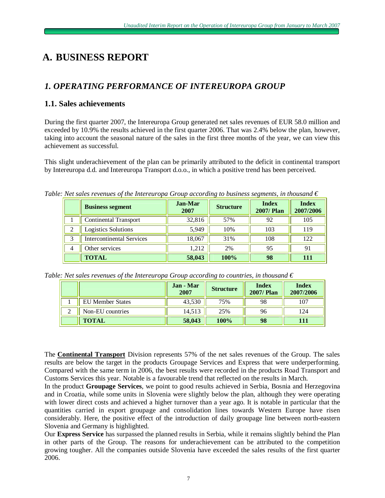# **A. BUSINESS REPORT**

# *1. OPERATING PERFORMANCE OF INTEREUROPA GROUP*

# **1.1. Sales achievements**

During the first quarter 2007, the Intereuropa Group generated net sales revenues of EUR 58.0 million and exceeded by 10.9% the results achieved in the first quarter 2006. That was 2.4% below the plan, however, taking into account the seasonal nature of the sales in the first three months of the year, we can view this achievement as successful.

This slight underachievement of the plan can be primarily attributed to the deficit in continental transport by Intereuropa d.d. and Intereuropa Transport d.o.o., in which a positive trend has been perceived.

*Table: Net sales revenues of the Intereuropa Group according to business segments, in thousand*  $\epsilon$ 

|   | <b>Business segment</b>          | Jan-Mar<br>2007 | <b>Structure</b> | <b>Index</b><br><b>2007/Plan</b> | <b>Index</b><br>2007/2006 |
|---|----------------------------------|-----------------|------------------|----------------------------------|---------------------------|
|   | <b>Continental Transport</b>     | 32,816          | 57%              | 92                               | 105                       |
| っ | <b>Logistics Solutions</b>       | 5,949           | 10%              | 103                              | 119                       |
|   | <b>Intercontinental Services</b> | 18.067          | 31%              | 108                              | 122                       |
| 4 | Other services                   | 1.212           | 2%               | 95                               | 91                        |
|   | <b>TOTAL</b>                     | 58,043          | 100%             | 98                               | 111                       |

*Table: Net sales revenues of the Intereuropa Group according to countries, in thousand €*

|                         | Jan - Mar<br>2007 | <b>Structure</b> | <b>Index</b><br><b>2007/Plan</b> | <b>Index</b><br>2007/2006 |
|-------------------------|-------------------|------------------|----------------------------------|---------------------------|
| <b>EU Member States</b> | 43,530            | 75%              | 98                               | 107                       |
| Non-EU countries        | 14,513            | 25%              | 96                               | 124                       |
| <b>TOTAL</b>            | 58,043            | 100%             | 98                               |                           |

The **Continental Transport** Division represents 57% of the net sales revenues of the Group. The sales results are below the target in the products Groupage Services and Express that were underperforming. Compared with the same term in 2006, the best results were recorded in the products Road Transport and Customs Services this year. Notable is a favourable trend that reflected on the results in March.

In the product **Groupage Services**, we point to good results achieved in Serbia, Bosnia and Herzegovina and in Croatia, while some units in Slovenia were slightly below the plan, although they were operating with lower direct costs and achieved a higher turnover than a year ago. It is notable in particular that the quantities carried in export groupage and consolidation lines towards Western Europe have risen considerably. Here, the positive effect of the introduction of daily groupage line between north-eastern Slovenia and Germany is highlighted.

Our **Express Service** has surpassed the planned results in Serbia, while it remains slightly behind the Plan in other parts of the Group. The reasons for underachievement can be attributed to the competition growing tougher. All the companies outside Slovenia have exceeded the sales results of the first quarter 2006.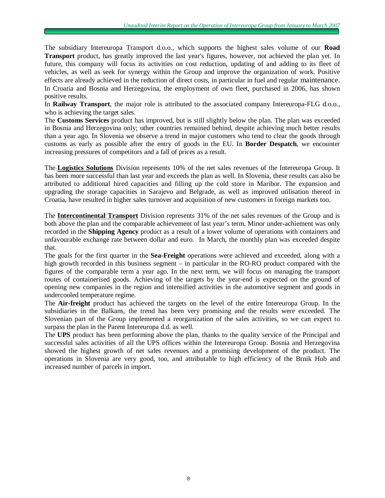The subsidiary Intereuropa Transport d.o.o., which supports the highest sales volume of our **Road Transport** product, has greatly improved the last year's figures, however, not achieved the plan yet. In future, this company will focus its activities on cost reduction, updating of and adding to its fleet of vehicles, as well as seek for synergy within the Group and improve the organization of work. Positive effects are already achieved in the reduction of direct costs, in particular in fuel and regular maintenance. In Croatia and Bosnia and Herzegovina, the employment of own fleet, purchased in 2006, has shown positive results.

In **Railway Transport**, the major role is attributed to the associated company Intereuropa-FLG d.o.o., who is achieving the target sales.

The **Customs Services** product has improved, but is still slightly below the plan. The plan was exceeded in Bosnia and Herzegovina only; other countries remained behind, despite achieving much better results than a year ago. In Slovenia we observe a trend in major customers who tend to clear the goods through customs as early as possible after the entry of goods in the EU. In **Border Despatch**, we encounter increasing pressures of competitors and a fall of prices as a result.

The **Logistics Solutions** Division represents 10% of the net sales revenues of the Intereuropa Group. It has been more successful than last year and exceeds the plan as well. In Slovenia, these results can also be attributed to additional hired capacities and filling up the cold store in Maribor. The expansion and upgrading the storage capacities in Sarajevo and Belgrade, as well as improved utilisation thereof in Croatia, have resulted in higher sales turnover and acquisition of new customers in foreign markets too.

The **Intercontinental Transport** Division represents 31% of the net sales revenues of the Group and is both above the plan and the comparable achievement of last year's term. Minor under-achiement was only recorded in the **Shipping Agency** product as a result of a lower volume of operations with containers and unfavourable exchange rate between dollar and euro. In March, the monthly plan was exceeded despite that.

The goals for the first quarter in the **Sea-Freight** operations were achieved and exceeded, along with a high growth recorded in this business segment – in particular in the RO-RO product compared with the figures of the comparable term a year ago. In the next term, we will focus on managing the transport routes of containerised goods. Achieving of the targets by the year-end is expected on the ground of opening new companies in the region and intensified activities in the automotive segment and goods in undercooled temperature regime.

The **Air-freight** product has achieved the targets on the level of the entire Intereuropa Group. In the subsidiaries in the Balkans, the trend has been very promising and the results were exceeded. The Slovenian part of the Group implemented a reorganization of the sales activities, so we can expect to surpass the plan in the Parent Intereuropa d.d. as well.

The **UPS** product has been performing above the plan, thanks to the quality service of the Principal and successful sales activities of all the UPS offices within the Intereuropa Group. Bosnia and Herzegovina showed the highest growth of net sales revenues and a promising development of the product. The operations in Slovenia are very good, too, and attributable to high efficiency of the Brnik Hub and increased number of parcels in import.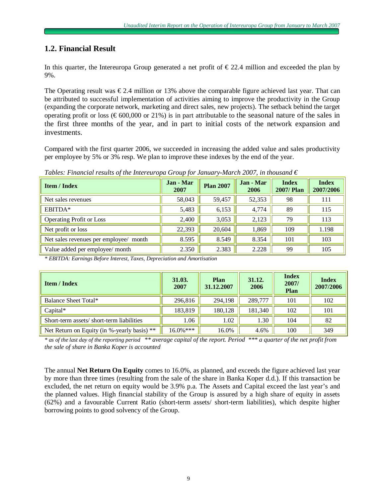# **1.2. Financial Result**

In this quarter, the Intereuropa Group generated a net profit of  $\epsilon$  22.4 million and exceeded the plan by 9%.

The Operating result was  $\epsilon$ 2.4 million or 13% above the comparable figure achieved last year. That can be attributed to successful implementation of activities aiming to improve the productivity in the Group (expanding the corporate network, marketing and direct sales, new projects). The setback behind the target operating profit or loss ( $\epsilon$ 600,000 or 21%) is in part attributable to the seasonal nature of the sales in the first three months of the year, and in part to initial costs of the network expansion and investments.

Compared with the first quarter 2006, we succeeded in increasing the added value and sales productivity per employee by 5% or 3% resp. We plan to improve these indexes by the end of the year.

*Tables: Financial results of the Intereuropa Group for January-March 2007, in thousand €*

| <b>Item / Index</b>                    | Jan - Mar<br>2007 | <b>Plan 2007</b> | Jan - Mar<br>2006 | <b>Index</b><br><b>2007/Plan</b> | <b>Index</b><br>2007/2006 |
|----------------------------------------|-------------------|------------------|-------------------|----------------------------------|---------------------------|
| Net sales revenues                     | 58,043            | 59,457           | 52,353            | 98                               | 111                       |
| EBITDA*                                | 5,483             | 6,153            | 4,774             | 89                               | 115                       |
| <b>Operating Profit or Loss</b>        | 2,400             | 3,053            | 2,123             | 79                               | 113                       |
| Net profit or loss                     | 22,393            | 20,604           | 1,869             | 109                              | 1.198                     |
| Net sales revenues per employee/ month | 8.595             | 8.549            | 8.354             | 101                              | 103                       |
| Value added per employee/ month        | 2.350             | 2.383            | 2.228             | 99                               | 105                       |

*\* EBITDA: Earnings Before Interest, Taxes, Depreciation and Amortisation*

| <b>Item / Index</b>                         | 31.03.<br>2007 | Plan<br>31.12.2007 | 31.12.<br>2006 | <b>Index</b><br>2007/<br>Plan | <b>Index</b><br>2007/2006 |
|---------------------------------------------|----------------|--------------------|----------------|-------------------------------|---------------------------|
| Balance Sheet Total*                        | 296,816        | 294,198            | 289,777        | 101                           | 102                       |
| $Capital^*$                                 | 183,819        | 180,128            | 181,340        | 102                           | 101                       |
| Short-term assets/short-term liabilities    | 1.06           | 1.02               | 1.30           | 104                           | 82                        |
| Net Return on Equity (in %-yearly basis) ** | $16.0\%***$    | 16.0%              | 4.6%           | 100                           | 349                       |

\* as of the last day of the reporting period \*\* average capital of the report. Period \*\*\* a quarter of the net profit from *the sale of share in Banka Koper is accounted*

The annual **Net Return On Equity** comes to 16.0%, as planned, and exceeds the figure achieved last year by more than three times (resulting from the sale of the share in Banka Koper d.d.). If this transaction be excluded, the net return on equity would be 3.9% p.a. The Assets and Capital exceed the last year's and the planned values. High financial stability of the Group is assured by a high share of equity in assets (62%) and a favourable Current Ratio (short-term assets/ short-term liabilities), which despite higher borrowing points to good solvency of the Group.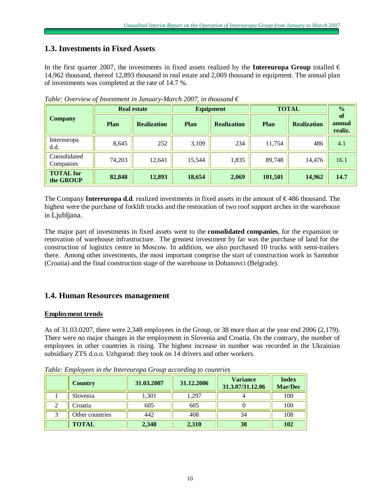# **1.3. Investments in Fixed Assets**

In the first quarter 2007, the investments in fixed assets realized by the **Intereuropa Group** totalled  $\in$ 14,962 thousand, thereof 12,893 thousand in real estate and 2,069 thousand in equipment. The annual plan of investments was completed at the rate of 14.7 %.

|                               |        | <b>Real estate</b> |        | <b>Equipment</b>   | <b>TOTAL</b> | $\frac{0}{0}$      |                         |
|-------------------------------|--------|--------------------|--------|--------------------|--------------|--------------------|-------------------------|
| <b>Company</b>                | Plan   | <b>Realization</b> | Plan   | <b>Realization</b> | Plan         | <b>Realization</b> | of<br>annual<br>realiz. |
| Intereuropa<br>d.d.           | 8,645  | 252                | 3,109  | 234                | 11,754       | 486                | 4.1                     |
| Consolidated<br>Companies     | 74,203 | 12,641             | 15,544 | 1,835              | 89,748       | 14,476             | 16.1                    |
| <b>TOTAL</b> for<br>the GROUP | 82,848 | 12,893             | 18,654 | 2,069              | 101,501      | 14,962             | 14.7                    |

*Table: Overview of Investment in January-March 2007, in thousand €*

The Company **Intereuropa d.d**. realized investments in fixed assets in the amount of € 486 thousand. The highest were the purchase of forklift trucks and the restoration of two roof support arches in the warehouse in Ljubljana.

The major part of investments in fixed assets went to the **consolidated companies**, for the expansion or renovation of warehouse infrastructure. The greatest investment by far was the purchase of land for the construction of logistics centre in Moscow. In addition, we also purchased 10 trucks with semi-trailers there. Among other investments, the most important comprise the start of construction work in Samobor (Croatia) and the final construction stage of the warehouse in Dobanovci (Belgrade).

# **1.4. Human Resources management**

### **Employment trends**

As of 31.03.0207, there were 2,348 employees in the Group, or 38 more than at the year end 2006 (2,179). There were no major changes in the employment in Slovenia and Croatia. On the contrary, the number of employees in other countries is rising. The highest increase in number was recorded in the Ukrainian subsidiary ZTS d.o.o. Uzhgorod: they took on 14 drivers and other workers.

|   | Country         | 31.03.2007 | 31.12.2006 | <b>Variance</b><br>31.3.07/31.12.06 | <b>Index</b><br><b>Mar/Dec</b> |
|---|-----------------|------------|------------|-------------------------------------|--------------------------------|
|   | Slovenia        | 1,301      | 1,297      |                                     | 100                            |
| ∠ | Croatia         | 605        | 605        |                                     | 100                            |
|   | Other countries | 442        | 408        | 34                                  | 108                            |
|   | <b>TOTAL</b>    | 2,348      | 2,310      | 38                                  | 102                            |

*Table: Employees in the Intereuropa Group according to countries*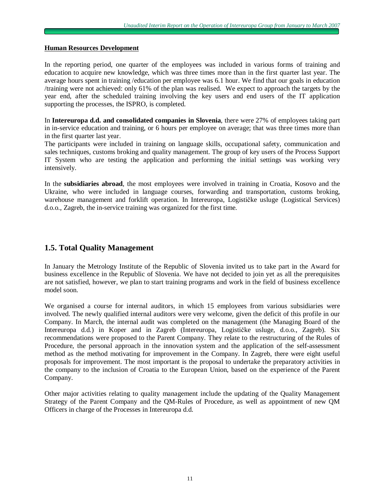#### **Human Resources Development**

In the reporting period, one quarter of the employees was included in various forms of training and education to acquire new knowledge, which was three times more than in the first quarter last year. The average hours spent in training /education per employee was 6.1 hour. We find that our goals in education /training were not achieved: only 61% of the plan was realised. We expect to approach the targets by the year end, after the scheduled training involving the key users and end users of the IT application supporting the processes, the ISPRO, is completed.

In **Intereuropa d.d. and consolidated companies in Slovenia**, there were 27% of employees taking part in in-service education and training, or 6 hours per employee on average; that was three times more than in the first quarter last year.

The participants were included in training on language skills, occupational safety, communication and sales techniques, customs broking and quality management. The group of key users of the Process Support IT System who are testing the application and performing the initial settings was working very intensively.

In the **subsidiaries abroad**, the most employees were involved in training in Croatia, Kosovo and the Ukraine, who were included in language courses, forwarding and transportation, customs broking, warehouse management and forklift operation. In Intereuropa, Logističke usluge (Logistical Services) d.o.o., Zagreb, the in-service training was organized for the first time.

# **1.5. Total Quality Management**

In January the Metrology Institute of the Republic of Slovenia invited us to take part in the Award for business excellence in the Republic of Slovenia. We have not decided to join yet as all the prerequisites are not satisfied, however, we plan to start training programs and work in the field of business excellence model soon.

We organised a course for internal auditors, in which 15 employees from various subsidiaries were involved. The newly qualified internal auditors were very welcome, given the deficit of this profile in our Company. In March, the internal audit was completed on the management (the Managing Board of the Intereuropa d.d.) in Koper and in Zagreb (Intereuropa, Logističke usluge, d.o.o., Zagreb). Six recommendations were proposed to the Parent Company. They relate to the restructuring of the Rules of Procedure, the personal approach in the innovation system and the application of the self-assessment method as the method motivating for improvement in the Company. In Zagreb, there were eight useful proposals for improvement. The most important is the proposal to undertake the preparatory activities in the company to the inclusion of Croatia to the European Union, based on the experience of the Parent Company.

Other major activities relating to quality management include the updating of the Quality Management Strategy of the Parent Company and the QM-Rules of Procedure, as well as appointment of new QM Officers in charge of the Processes in Intereuropa d.d.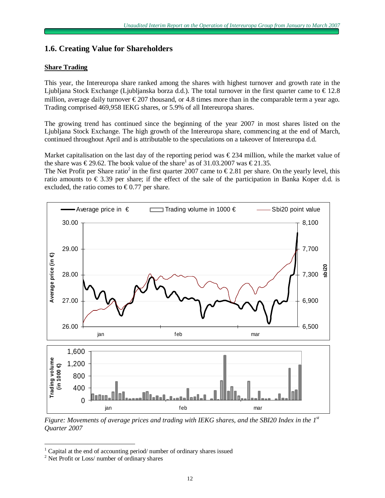# **1.6. Creating Value for Shareholders**

### **Share Trading**

This year, the Intereuropa share ranked among the shares with highest turnover and growth rate in the Ljubljana Stock Exchange (Ljubljanska borza d.d.). The total turnover in the first quarter came to  $\epsilon$  12.8 million, average daily turnover  $\epsilon$ 207 thousand, or 4.8 times more than in the comparable term a year ago. Trading comprised 469,958 IEKG shares, or 5.9% of all Intereuropa shares.

The growing trend has continued since the beginning of the year 2007 in most shares listed on the Ljubljana Stock Exchange. The high growth of the Intereuropa share, commencing at the end of March, continued throughout April and is attributable to the speculations on a takeover of Intereuropa d.d.

Market capitalisation on the last day of the reporting period was  $\epsilon$ 234 million, while the market value of the share was  $\epsilon$ 29.62. The book value of the share<sup>1</sup> as of 31.03.2007 was  $\epsilon$ 21.35.

The Net Profit per Share ratio<sup>2</sup> in the first quarter 2007 came to  $\epsilon$ 2.81 per share. On the yearly level, this ratio amounts to  $\epsilon$  3.39 per share; if the effect of the sale of the participation in Banka Koper d.d. is excluded, the ratio comes to  $\epsilon$ 0.77 per share.



*Figure: Movements of average prices and trading with IEKG shares, and the SBI20 Index in the 1st Quarter 2007*

 $\overline{a}$ 

<sup>1</sup> Capital at the end of accounting period/ number of ordinary shares issued

<sup>&</sup>lt;sup>2</sup> Net Profit or Loss/ number of ordinary shares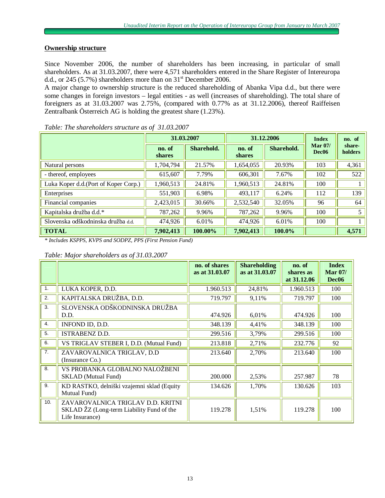### **Ownership structure**

Since November 2006, the number of shareholders has been increasing, in particular of small shareholders. As at 31.03.2007, there were 4,571 shareholders entered in the Share Register of Intereuropa d.d., or 245 (5.7%) shareholders more than on  $31<sup>st</sup>$  December 2006.

A major change to ownership structure is the reduced shareholding of Abanka Vipa d.d., but there were some changes in foreign investors – legal entities - as well (increases of shareholding). The total share of foreigners as at 31.03.2007 was 2.75%, (compared with 0.77% as at 31.12.2006), thereof Raiffeisen Zentralbank Österreich AG is holding the greatest share (1.23%).

|                                       |                         | 31.03.2007 |                         | 31.12.2006 | <b>Index</b>                   | no. of            |
|---------------------------------------|-------------------------|------------|-------------------------|------------|--------------------------------|-------------------|
|                                       | no. of<br><b>shares</b> | Sharehold. | no. of<br><b>shares</b> | Sharehold. | Mar $07/$<br>Dec <sub>06</sub> | share-<br>holders |
| Natural persons                       | 1,704,794               | 21.57%     | 1,654,055               | 20.93%     | 103                            | 4,361             |
| - thereof, employees                  | 615,607                 | 7.79%      | 606,301                 | 7.67%      | 102                            | 522               |
| Luka Koper d.d. (Port of Koper Corp.) | 1,960,513               | 24.81%     | 1,960,513               | 24.81%     | 100                            |                   |
| Enterprises                           | 551,903                 | 6.98%      | 493,117                 | 6.24%      | 112                            | 139               |
| Financial companies                   | 2,423,015               | 30.66%     | 2,532,540               | 32.05%     | 96                             | 64                |
| Kapitalska družba d.d.*               | 787,262                 | 9.96%      | 787,262                 | 9.96%      | 100                            | 5                 |
| Slovenska odškodninska družba d.d.    | 474,926                 | 6.01%      | 474,926                 | 6.01%      | 100                            |                   |
| <b>TOTAL</b>                          | 7,902,413               | 100.00%    | 7,902,413               | 100.0%     |                                | 4,571             |

#### *Table: The shareholders structure as of 31.03.2007*

*\* Includes KSPPS, KVPS and SODPZ, PPS (First Pension Fund)* 

*Table: Major shareholders as of 31.03.2007*

|                |                                                                                                   | no. of shares<br>as at 31.03.07 | <b>Shareholding</b><br>as at 31.03.07 | no. of<br>shares as | <b>Index</b><br><b>Mar 07/</b> |
|----------------|---------------------------------------------------------------------------------------------------|---------------------------------|---------------------------------------|---------------------|--------------------------------|
|                |                                                                                                   |                                 |                                       | at 31.12.06         | Dec <sub>06</sub>              |
| 1.             | LUKA KOPER, D.D.                                                                                  | 1.960.513                       | 24,81%                                | 1.960.513           | 100                            |
| 2.             | KAPITALSKA DRUŽBA, D.D.                                                                           | 719.797                         | 9,11%                                 | 719.797             | 100                            |
| 3.             | SLOVENSKA ODŠKODNINSKA DRUŽBA                                                                     |                                 |                                       |                     |                                |
|                | D.D.                                                                                              | 474.926                         | 6,01%                                 | 474.926             | 100                            |
| 4.             | INFOND ID, D.D.                                                                                   | 348.139                         | 4,41%                                 | 348.139             | 100                            |
| 5.             | <b>ISTRABENZ D.D.</b>                                                                             | 299.516                         | 3,79%                                 | 299.516             | 100                            |
| 6.             | VS TRIGLAV STEBER I, D.D. (Mutual Fund)                                                           | 213.818                         | 2,71%                                 | 232.776             | 92                             |
| 7 <sub>1</sub> | ZAVAROVALNICA TRIGLAV, D.D<br>(Insurance Co.)                                                     | 213.640                         | 2,70%                                 | 213.640             | 100                            |
| 8.             | VS PROBANKA GLOBALNO NALOŽBENI                                                                    |                                 |                                       |                     |                                |
|                | <b>SKLAD</b> (Mutual Fund)                                                                        | 200.000                         | 2,53%                                 | 257.987             | 78                             |
| 9.             | KD RASTKO, delniški vzajemni sklad (Equity                                                        | 134.626                         | 1,70%                                 | 130.626             | 103                            |
|                | Mutual Fund)                                                                                      |                                 |                                       |                     |                                |
| 10.            | ZAVAROVALNICA TRIGLAV D.D. KRITNI<br>SKLAD ŽZ (Long-term Liability Fund of the<br>Life Insurance) | 119.278                         | 1,51%                                 | 119.278             | 100                            |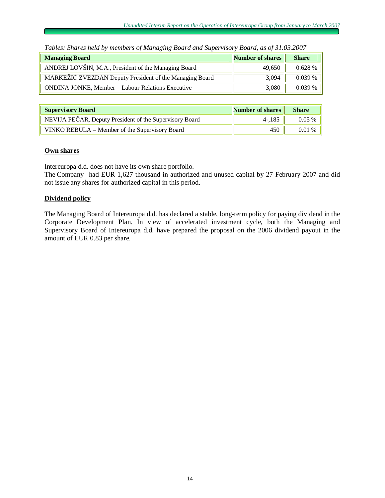| $\sim$ and then the memory intermediately intermediately because there is no $\sim$ , because $\sim$ , $\sim$ |                  |              |
|---------------------------------------------------------------------------------------------------------------|------------------|--------------|
| <b>Managing Board</b>                                                                                         | Number of shares | <b>Share</b> |
| ANDREJ LOVŠIN, M.A., President of the Managing Board                                                          | 49,650           | 0.628%       |
| MARKEŽIČ ZVEZDAN Deputy President of the Managing Board                                                       | 3.094            | $0.039\%$    |
| <b>ONDINA JONKE, Member – Labour Relations Executive</b>                                                      | 3,080            | $0.039\%$    |

|  |  | Tables: Shares held by members of Managing Board and Supervisory Board, as of 31.03.2007 |
|--|--|------------------------------------------------------------------------------------------|
|  |  |                                                                                          |

| <b>Supervisory Board</b>                                | Number of shares | <b>Share</b> |
|---------------------------------------------------------|------------------|--------------|
| NEVIJA PEČAR, Deputy President of the Supervisory Board | $4 - 185$        | $0.05\%$     |
| VINKO REBULA – Member of the Supervisory Board          | 450              | 0.01%        |

### **Own shares**

Intereuropa d.d. does not have its own share portfolio.

The Company had EUR 1,627 thousand in authorized and unused capital by 27 February 2007 and did not issue any shares for authorized capital in this period.

### **Dividend policy**

The Managing Board of Intereuropa d.d. has declared a stable, long-term policy for paying dividend in the Corporate Development Plan. In view of accelerated investment cycle, both the Managing and Supervisory Board of Intereuropa d.d. have prepared the proposal on the 2006 dividend payout in the amount of EUR 0.83 per share.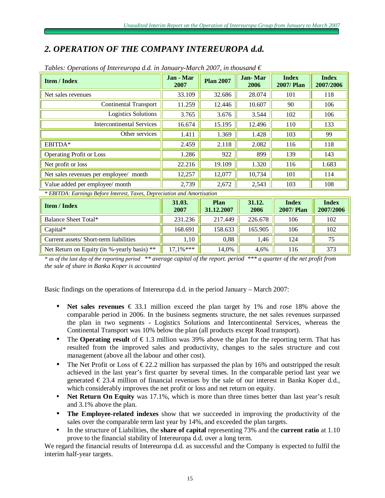# *2. OPERATION OF THE COMPANY INTEREUROPA d.d.*

| <b>Item / Index</b>                                                    | Jan - Mar<br>2007 | <b>Plan 2007</b> | <b>Jan-Mar</b><br>2006 | <b>Index</b><br><b>2007/Plan</b> | <b>Index</b><br>2007/2006 |
|------------------------------------------------------------------------|-------------------|------------------|------------------------|----------------------------------|---------------------------|
| Net sales revenues                                                     | 33.109            | 32.686           | 28.074                 | 101                              | 118                       |
| Continental Transport                                                  | 11.259            | 12.446           | 10.607                 | 90                               | 106                       |
| <b>Logistics Solutions</b>                                             | 3.765             | 3.676            | 3.544                  | 102                              | 106                       |
| Intercontinental Services                                              | 16.674            | 15.195           | 12.496                 | 110                              | 133                       |
| Other services                                                         | 1.411             | 1.369            | 1.428                  | 103                              | 99                        |
| EBITDA*                                                                | 2.459             | 2.118            | 2.082                  | 116                              | 118                       |
| <b>Operating Profit or Loss</b>                                        | 1.286             | 922              | 899                    | 139                              | 143                       |
| Net profit or loss                                                     | 22.216            | 19.109           | 1.320                  | 116                              | 1.683                     |
| Net sales revenues per employee/ month                                 | 12,257            | 12,077           | 10,734                 | 101                              | 114                       |
| Value added per employee/ month                                        | 2,739             | 2,672            | 2,543                  | 103                              | 108                       |
| * ERITDA: Farnings Refore Interest Taxes, Depreciation and Americation |                   |                  |                        |                                  |                           |

### *Tables: Operations of Intereuropa d.d. in January-March 2007, in thousand €*

*\* EBITDA: Earnings Before Interest, Taxes, Depreciation and Amortisation*

| <b>Item / Index</b>                         | 31.03.<br>2007 | Plan<br>31.12.2007 | 31.12.<br>2006 | <b>Index</b><br><b>2007/Plan</b> | <b>Index</b><br>2007/2006 |
|---------------------------------------------|----------------|--------------------|----------------|----------------------------------|---------------------------|
| Balance Sheet Total*                        | 231.236        | 217.449            | 226.678        | 106                              | 102                       |
| $Capital^*$                                 | 168.691        | 158.633            | 165.905        | 106                              | 102                       |
| Current assets/ Short-term liabilities      | 1,10           | 0,88               | 1,46           | 124                              | 75                        |
| Net Return on Equity (in %-yearly basis) ** | $17.1\%***$    | 14,0%              | 4,6%           | 116                              | 373                       |

\* as of the last day of the reporting period \*\* average capital of the report. period \*\*\* a quarter of the net profit from *the sale of share in Banka Koper is accounted*

Basic findings on the operations of Intereuropa d.d. in the period January – March 2007:

- **Net sales revenues** € 33.1 million exceed the plan target by 1% and rose 18% above the comparable period in 2006. In the business segments structure, the net sales revenues surpassed the plan in two segments - Logistics Solutions and Intercontinental Services, whereas the Continental Transport was 10% below the plan (all products except Road transport).
- The **Operating result** of  $\epsilon$ 1.3 million was 39% above the plan for the reporting term. That has resulted from the improved sales and productivity, changes to the sales structure and cost management (above all the labour and other cost).
- The Net Profit or Loss of  $\epsilon$ 22.2 million has surpassed the plan by 16% and outstripped the result achieved in the last year's first quarter by several times. In the comparable period last year we generated € 23.4 million of financial revenues by the sale of our interest in Banka Koper d.d., which considerably improves the net profit or loss and net return on equity.
- **Net Return On Equity** was 17.1%, which is more than three times better than last year's result and 3.1% above the plan.
- **The Employee-related indexes** show that we succeeded in improving the productivity of the sales over the comparable term last year by 14%, and exceeded the plan targets.
- In the structure of Liabilities, the **share of capital** representing 73% and the **current ratio** at 1.10 prove to the financial stability of Intereuropa d.d. over a long term.

We regard the financial results of Intereuropa d.d. as successful and the Company is expected to fulfil the interim half-year targets.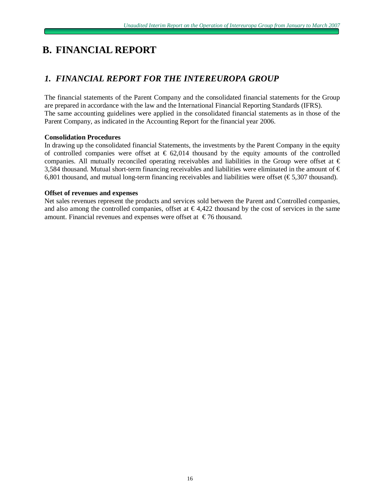# **B. FINANCIAL REPORT**

# *1. FINANCIAL REPORT FOR THE INTEREUROPA GROUP*

The financial statements of the Parent Company and the consolidated financial statements for the Group are prepared in accordance with the law and the International Financial Reporting Standards (IFRS). The same accounting guidelines were applied in the consolidated financial statements as in those of the Parent Company, as indicated in the Accounting Report for the financial year 2006.

### **Consolidation Procedures**

In drawing up the consolidated financial Statements, the investments by the Parent Company in the equity of controlled companies were offset at  $\epsilon$  62,014 thousand by the equity amounts of the controlled companies. All mutually reconciled operating receivables and liabilities in the Group were offset at  $\epsilon$ 3,584 thousand. Mutual short-term financing receivables and liabilities were eliminated in the amount of  $\epsilon$ 6,801 thousand, and mutual long-term financing receivables and liabilities were offset  $(\text{\textsterling}5,307$  thousand).

### **Offset of revenues and expenses**

Net sales revenues represent the products and services sold between the Parent and Controlled companies, and also among the controlled companies, offset at  $\epsilon$ 4,422 thousand by the cost of services in the same amount. Financial revenues and expenses were offset at  $\epsilon$ 76 thousand.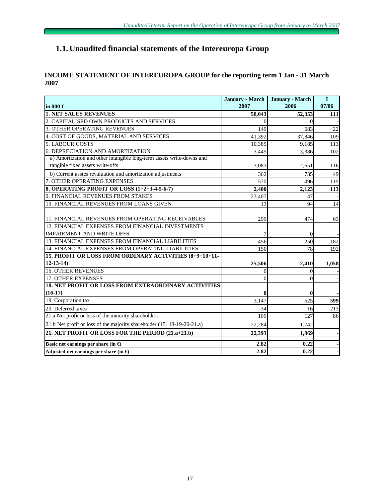# **1.1. Unaudited financial statements of the Intereuropa Group**

### **INCOME STATEMENT OF INTEREUROPA GROUP for the reporting term 1 Jan - 31 March 2007**

|                                                                          | <b>January - March</b> | <b>January - March</b> | I      |
|--------------------------------------------------------------------------|------------------------|------------------------|--------|
| in 000 $\in$                                                             | 2007                   | 2006                   | 07/06  |
| <b>1. NET SALES REVENUES</b>                                             | 58,043                 | 52,353                 | 111    |
| 2. CAPITALISED OWN PRODUCTS AND SERVICES                                 | $\Omega$               | $\Omega$               |        |
| <b>3. OTHER OPERATING REVENUES</b>                                       | 149                    | 683                    | 22     |
| 4. COST OF GOODS, MATERIAL AND SERVICES                                  | 41,392                 | 37,846                 | 109    |
| <b>5. LABOUR COSTS</b>                                                   | 10,385                 | 9,185                  | 113    |
| 6. DEPRECIATION AND AMORTIZATION                                         | 3,445                  | 3,386                  | 102    |
| a) Amortization and other intangible long-term assets write-downs and    |                        |                        |        |
| tangible fixed assets write-offs                                         | 3,083                  | 2,651                  | 116    |
| b) Current asstes revaluation and amortization adjustments               | 362                    | 735                    | 49     |
| 7. OTHER OPERATING EXPENSES                                              | 570                    | 496                    | 115    |
| 8. OPERATING PROFIT OR LOSS (1+2+3-4-5-6-7)                              | 2,400                  | 2,123                  | 113    |
| 9. FINANCIAL REVENUES FROM STAKES                                        | 23,407                 | 47                     |        |
| 10. FINANCIAL REVENUES FROM LOANS GIVEN                                  | 13                     | 94                     | 14     |
| 11. FINANCIAL REVENUES FROM OPERATING RECEIVABLES                        | 299                    | 474                    | 63     |
| 12. FINANCIAL EXPENSES FROM FINANCIAL INVESTMENTS                        |                        |                        |        |
| <b>IMPAIRMENT AND WRITE OFFS</b>                                         |                        | $\Omega$               |        |
| 13. FINANCIAL EXPENSES FROM FINANCIAL LIABILITIES                        | 456                    | 250                    | 182    |
| 14. FINANCIAL EXPENSES FROM OPERATING LIABILITIES                        | 150                    | 78                     | 192    |
| 15. PROFIT OR LOSS FROM ORDINARY ACTIVITIES (8+9+10+11-                  |                        |                        |        |
| $12 - 13 - 14$                                                           | 25,506                 | 2,410                  | 1,058  |
| <b>16. OTHER REVENUES</b>                                                | 0                      | 0                      |        |
| <b>17. OTHER EXPENSES</b>                                                | $\theta$               | $\theta$               |        |
| <b>18. NET PROFIT OR LOSS FROM EXTRAORDINARY ACTIVITIES</b>              |                        |                        |        |
| $(16-17)$                                                                | $\mathbf{0}$           | $\mathbf{0}$           |        |
| 19. Corporation tax                                                      | 3,147                  | 525                    | 599    |
| 20. Deferred taxes                                                       | $-34$                  | 16                     | $-213$ |
| 21.a Net profit or loss of the minority shareholders                     | 109                    | 127                    | 86     |
| 21.b Net profit or loss of the majority shareholder $(15+18-19-20-21.a)$ | 22,284                 | 1,742                  |        |
| 21. NET PROFIT OR LOSS FOR THE PERIOD (21.a+21.b)                        | 22,393                 | 1,869                  |        |
| Basic net earnings per share (in $\bigoplus$                             | 2.82                   | 0.22                   |        |
| Adjusted net earnings per share (in $\oplus$                             | 2.82                   | 0.22                   |        |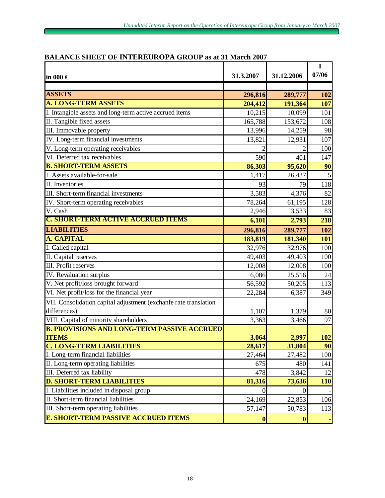| in 000 $\in$                                                     | 31.3.2007        | 31.12.2006       | I<br>07/06 |
|------------------------------------------------------------------|------------------|------------------|------------|
|                                                                  |                  |                  |            |
| <b>ASSETS</b>                                                    | 296,816          | 289,777          | 102        |
| <b>A. LONG-TERM ASSETS</b>                                       | 204,412          | 191,364          | 107        |
| I. Intangible assets and long-term active accrued items          | 10,215           | 10,099           | 101        |
| II. Tangible fixed assets                                        | 165,788          | 153,672          | 108        |
| III. Immovable property                                          | 13,996           | 14,259           | 98         |
| IV. Long-term financial investments                              | 13,821           | 12,931           | 107        |
| V. Long-term operating receivables                               |                  |                  | 100        |
| VI. Deferred tax receivables                                     | 590              | 401              | 147        |
| <b>B. SHORT-TERM ASSETS</b>                                      | 86,303           | 95,620           | 90         |
| I. Assets available-for-sale                                     | 1,417            | 26,437           | 5          |
| II. Inventories                                                  | 93               | 79               | 118        |
| III. Short-term financial investments                            | 3,583            | 4,376            | 82         |
| IV. Short-term operating receivables                             | 78,264           | 61,195           | 128        |
| V. Cash                                                          | 2,946            | 3,533            | 83         |
| <b>C. SHORT-TERM ACTIVE ACCRUED ITEMS</b>                        | 6,101            | 2,793            | 218        |
| <b>LIABILITIES</b>                                               | 296,816          | 289,777          | 102        |
| A. CAPITAL                                                       | 183,819          | 181,340          | 101        |
| I. Called capital                                                | 32,976           | 32,976           | 100        |
| II. Capital reserves                                             | 49,403           | 49,403           | 100        |
| III. Profit reserves                                             | 12,008           | 12,008           | 100        |
| IV. Revaluation surplus                                          | 6,086            | 25,516           | 24         |
| V. Net profit/loss brought forward                               | 56,592           | 50,205           | 113        |
| VI. Net profit/loss for the financial year                       | 22,284           | 6,387            | 349        |
| VII. Consolidation capital adjustment (exchanfe rate translation |                  |                  |            |
| differences)                                                     | 1,107            | 1,379            | 80         |
| VIII. Capital of minority shareholders                           | 3,363            | 3,466            | 97         |
| <b>B. PROVISIONS AND LONG-TERM PASSIVE ACCRUED</b>               |                  |                  |            |
| <b>ITEMS</b>                                                     | 3,064            | 2,997            | 102        |
| <b>C. LONG-TERM LIABILITIES</b>                                  | 28,617           | 31,804           | 90         |
| I. Long-term financial liabilities                               | 27,464           | 27,482           | 100        |
| II. Long-term operating liabilities                              | 675              | 480              | 141        |
| III. Deferred tax liability                                      | 478              | 3,842            | 12         |
| <b>D. SHORT-TERM LIABILITIES</b>                                 | 81,316           | 73,636           | 110        |
| I. Liabilities included in disposal group                        | 0                | 0                |            |
| II. Short-term financial liabilities                             | 24,169           | 22,853           | 106        |
| III. Short-term operating liabilities                            | 57,147           | 50,783           | 113        |
| <b>E. SHORT-TERM PASSIVE ACCRUED ITEMS</b>                       | $\boldsymbol{0}$ | $\boldsymbol{0}$ |            |

# **BALANCE SHEET OF INTEREUROPA GROUP as at 31 March 2007**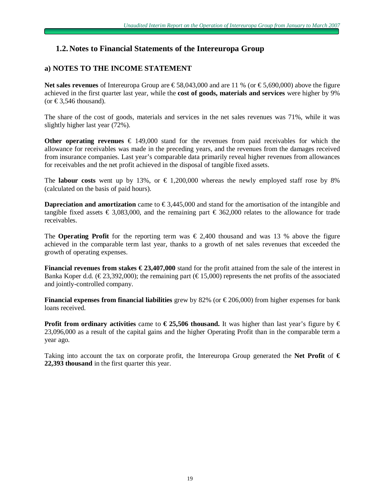# **1.2. Notes to Financial Statements of the Intereuropa Group**

# **a) NOTES TO THE INCOME STATEMENT**

**Net sales revenues** of Intereuropa Group are €58,043,000 and are 11 % (or €5,690,000) above the figure achieved in the first quarter last year, while the **cost of goods, materials and services** were higher by 9% (or  $\text{\textsterling}3,546$  thousand).

The share of the cost of goods, materials and services in the net sales revenues was 71%, while it was slightly higher last year (72%).

**Other operating revenues**  $€ 149,000$  **stand for the revenues from paid receivables for which the** allowance for receivables was made in the preceding years, and the revenues from the damages received from insurance companies. Last year's comparable data primarily reveal higher revenues from allowances for receivables and the net profit achieved in the disposal of tangible fixed assets.

The **labour** costs went up by 13%, or  $\in$  1,200,000 whereas the newly employed staff rose by 8% (calculated on the basis of paid hours).

**Dapreciation and amortization** came to €3,445,000 and stand for the amortisation of the intangible and tangible fixed assets  $\epsilon$  3,083,000, and the remaining part  $\epsilon$  362,000 relates to the allowance for trade receivables.

The **Operating Profit** for the reporting term was  $\epsilon$  2,400 thousand and was 13 % above the figure achieved in the comparable term last year, thanks to a growth of net sales revenues that exceeded the growth of operating expenses.

**Financial revenues from stakes € 23,407,000** stand for the profit attained from the sale of the interest in Banka Koper d.d. (€23,392,000); the remaining part (€15,000) represents the net profits of the associated and jointly-controlled company.

**Financial expenses from financial liabilities** grew by 82% (or € 206,000) from higher expenses for bank loans received.

**Profit from ordinary activities** came to  $\epsilon$  **25,506 thousand.** It was higher than last year's figure by  $\epsilon$ 23,096,000 as a result of the capital gains and the higher Operating Profit than in the comparable term a year ago.

Taking into account the tax on corporate profit, the Intereuropa Group generated the **Net Profit** of **€ 22,393 thousand** in the first quarter this year.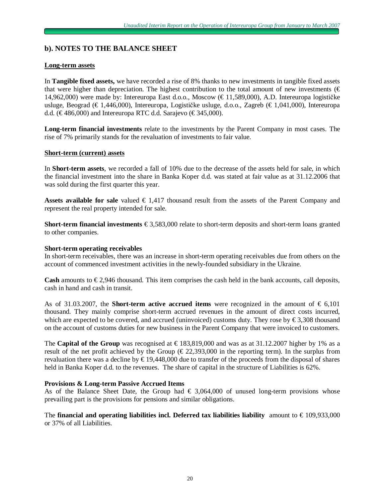# **b). NOTES TO THE BALANCE SHEET**

### **Long-term assets**

In **Tangible fixed assets,** we have recorded a rise of 8% thanks to new investments in tangible fixed assets that were higher than depreciation. The highest contribution to the total amount of new investments ( $\epsilon$ ) 14,962,000) were made by: Intereuropa East d.o.o., Moscow (€ 11,589,000), A.D. Intereuropa logističke usluge, Beograd (€ 1,446,000), Intereuropa, Logističke usluge, d.o.o., Zagreb (€ 1,041,000), Intereuropa d.d. ( $\text{\textsterling}486,000$ ) and Intereuropa RTC d.d. Sarajevo ( $\text{\textsterling}345,000$ ).

**Long-term financial investments** relate to the investments by the Parent Company in most cases. The rise of 7% primarily stands for the revaluation of investments to fair value.

### **Short-term (current) assets**

In **Short-term assets**, we recorded a fall of 10% due to the decrease of the assets held for sale, in which the financial investment into the share in Banka Koper d.d. was stated at fair value as at 31.12.2006 that was sold during the first quarter this year.

Assets **available** for sale valued  $\epsilon$  1,417 thousand result from the assets of the Parent Company and represent the real property intended for sale.

**Short-term financial investments** € 3,583,000 relate to short-term deposits and short-term loans granted to other companies.

#### **Short-term operating receivables**

In short-term receivables, there was an increase in short-term operating receivables due from others on the account of commenced investment activities in the newly-founded subsidiary in the Ukraine.

**Cash** amounts to  $\epsilon$ 2,946 thousand. This item comprises the cash held in the bank accounts, call deposits, cash in hand and cash in transit.

As of 31.03.2007, the **Short-term active accrued items** were recognized in the amount of  $\epsilon$  6,101 thousand. They mainly comprise short-term accrued revenues in the amount of direct costs incurred, which are expected to be covered, and accrued (uninvoiced) customs duty. They rose by  $\epsilon$ 3,308 thousand on the account of customs duties for new business in the Parent Company that were invoiced to customers.

The **Capital of the Group** was recognised at  $\epsilon$  183,819,000 and was as at 31.12.2007 higher by 1% as a result of the net profit achieved by the Group ( $\epsilon$ 22,393,000 in the reporting term). In the surplus from revaluation there was a decline by € 19,448,000 due to transfer of the proceeds from the disposal of shares held in Banka Koper d.d. to the revenues. The share of capital in the structure of Liabilities is 62%.

### **Provisions & Long-term Passive Accrued Items**

As of the Balance Sheet Date, the Group had  $\epsilon$  3,064,000 of unused long-term provisions whose prevailing part is the provisions for pensions and similar obligations.

The **financial and operating liabilities incl. Deferred tax liabilities liability amount to**  $\epsilon$  **109,933,000** or 37% of all Liabilities.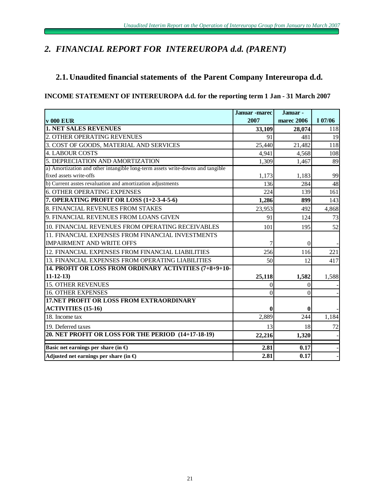# *2. FINANCIAL REPORT FOR INTEREUROPA d.d. (PARENT)*

# **2.1. Unaudited financial statements of the Parent Company Intereuropa d.d.**

### **INCOME STATEMENT OF INTEREUROPA d.d. for the reporting term 1 Jan - 31 March 2007**

|                                                                                | <b>Januar</b> -marec | Januar -   |         |
|--------------------------------------------------------------------------------|----------------------|------------|---------|
| <b>v</b> 000 EUR                                                               | 2007                 | marec 2006 | I 07/06 |
| <b>1. NET SALES REVENUES</b>                                                   | 33,109               | 28,074     | 118     |
| 2. OTHER OPERATING REVENUES                                                    | 91                   | 481        | 19      |
| 3. COST OF GOODS, MATERIAL AND SERVICES                                        | 25,440               | 21,482     | 118     |
| <b>4. LABOUR COSTS</b>                                                         | 4,941                | 4,568      | 108     |
| 5. DEPRECIATION AND AMORTIZATION                                               | 1,309                | 1,467      | 89      |
| a) Amortization and other intangible long-term assets write-downs and tangible |                      |            |         |
| fixed assets write-offs                                                        | 1,173                | 1,183      | 99      |
| b) Current asstes revaluation and amortization adjustments                     | 136                  | 284        | 48      |
| <b>6. OTHER OPERATING EXPENSES</b>                                             | 224                  | 139        | 161     |
| 7. OPERATING PROFIT OR LOSS (1+2-3-4-5-6)                                      | 1,286                | 899        | 143     |
| 8. FINANCIAL REVENUES FROM STAKES                                              | 23,953               | 492        | 4,868   |
| 9. FINANCIAL REVENUES FROM LOANS GIVEN                                         | 91                   | 124        | 73      |
| 10. FINANCIAL REVENUES FROM OPERATING RECEIVABLES                              | 101                  | 195        | 52      |
| 11. FINANCIAL EXPENSES FROM FINANCIAL INVESTMENTS                              |                      |            |         |
| <b>IMPAIRMENT AND WRITE OFFS</b>                                               | 7                    | $\Omega$   |         |
| 12. FINANCIAL EXPENSES FROM FINANCIAL LIABILITIES                              | 256                  | 116        | 221     |
| 13. FINANCIAL EXPENSES FROM OPERATING LIABILITIES                              | 50                   | 12         | 417     |
| 14. PROFIT OR LOSS FROM ORDINARY ACTIVITIES (7+8+9+10-                         |                      |            |         |
| $11 - 12 - 13$                                                                 | 25,118               | 1,582      | 1,588   |
| <b>15. OTHER REVENUES</b>                                                      | 0                    | 0          |         |
| <b>16. OTHER EXPENSES</b>                                                      | $\Omega$             | 0          |         |
| <b>17.NET PROFIT OR LOSS FROM EXTRAORDINARY</b>                                |                      |            |         |
| <b>ACTIVITIES (15-16)</b>                                                      | 0                    | 0          |         |
| 18. Income tax                                                                 | 2,889                | 244        | 1,184   |
| 19. Deferred taxes                                                             | 13                   | 18         | 72      |
| 20. NET PROFIT OR LOSS FOR THE PERIOD (14+17-18-19)                            | 22,216               | 1,320      |         |
| Basic net earnings per share (in $\Theta$                                      | 2.81                 | 0.17       |         |
| Adjusted net earnings per share (in $\bigoplus$                                | 2.81                 | 0.17       |         |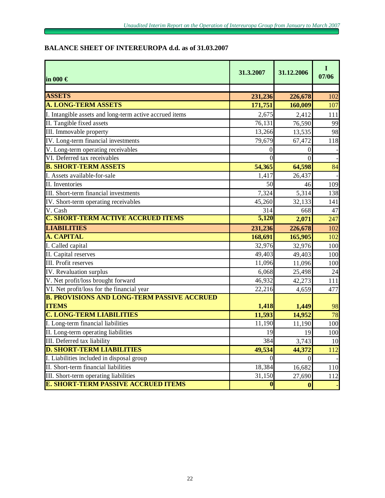# **BALANCE SHEET OF INTEREUROPA d.d. as of 31.03.2007**

| in 000 $\in$                                                       | 31.3.2007 | 31.12.2006 | $\bf{I}$<br>07/06 |
|--------------------------------------------------------------------|-----------|------------|-------------------|
|                                                                    |           |            |                   |
| <b>ASSETS</b><br><b>A. LONG-TERM ASSETS</b>                        | 231,236   | 226,678    | 102               |
|                                                                    | 171,751   | 160,009    | 107               |
| I. Intangible assets and long-term active accrued items            | 2,675     | 2,412      | 111               |
| II. Tangible fixed assets                                          | 76,131    | 76,590     | 99                |
| III. Immovable property                                            | 13,266    | 13,535     | 98                |
| IV. Long-term financial investments                                | 79,679    | 67,472     | 118               |
| V. Long-term operating receivables                                 | $\theta$  | 0          |                   |
| VI. Deferred tax receivables                                       | 0         | $\theta$   |                   |
| <b>B. SHORT-TERM ASSETS</b>                                        | 54,365    | 64,598     | 84                |
| I. Assets available-for-sale                                       | 1,417     | 26,437     |                   |
| II. Inventories                                                    | 50        | 46         | 109               |
| III. Short-term financial investments                              | 7,324     | 5,314      | 138               |
| IV. Short-term operating receivables                               | 45,260    | 32,133     | 141               |
| V. Cash                                                            | 314       | 668        | 47                |
| <b>C. SHORT-TERM ACTIVE ACCRUED ITEMS</b>                          | 5,120     | 2,071      | 247               |
| <b>LIABILITIES</b>                                                 | 231,236   | 226,678    | 102               |
| A. CAPITAL                                                         | 168,691   | 165,905    | 102               |
| I. Called capital                                                  | 32,976    | 32,976     | 100               |
| II. Capital reserves                                               | 49,403    | 49,403     | 100               |
| <b>III.</b> Profit reserves                                        | 11,096    | 11,096     | 100               |
| IV. Revaluation surplus                                            | 6,068     | 25,498     | 24                |
| V. Net profit/loss brought forward                                 | 46,932    | 42,273     | 111               |
| VI. Net profit/loss for the financial year                         | 22,216    | 4,659      | 477               |
| <b>B. PROVISIONS AND LONG-TERM PASSIVE ACCRUED</b><br><b>ITEMS</b> | 1,418     | 1,449      | 98                |
| <b>C. LONG-TERM LIABILITIES</b>                                    | 11,593    | 14,952     | 78                |
| I. Long-term financial liabilities                                 | 11,190    | 11,190     | 100               |
| II. Long-term operating liabilities                                | 19        | 19         | 100               |
| <b>III.</b> Deferred tax liability                                 | 384       | 3,743      | <b>10</b>         |
| <b>D. SHORT-TERM LIABILITIES</b>                                   | 49,534    | 44,372     | 112               |
| I. Liabilities included in disposal group                          |           | 0          |                   |
| II. Short-term financial liabilities                               | 18,384    | 16,682     | 110               |
| III. Short-term operating liabilities                              | 31,150    | 27,690     | 112               |
| <b>E. SHORT-TERM PASSIVE ACCRUED ITEMS</b>                         | 0         | 0          |                   |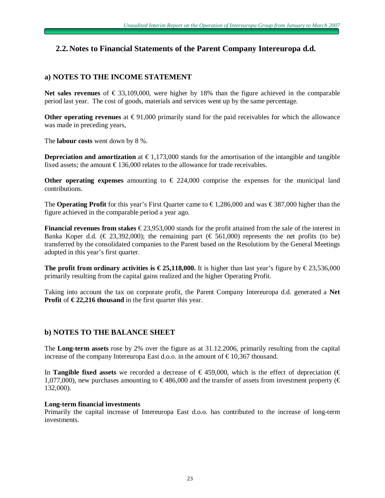# **2.2. Notes to Financial Statements of the Parent Company Intereuropa d.d.**

# **a) NOTES TO THE INCOME STATEMENT**

**Net sales revenues** of € 33,109,000, were higher by 18% than the figure achieved in the comparable period last year. The cost of goods, materials and services went up by the same percentage.

**Other operating revenues** at  $€91,000$  primarily stand for the paid receivables for which the allowance was made in preceding years,

The **labour costs** went down by 8 %.

**Depreciation and amortization** at  $\epsilon$ 1,173,000 stands for the amortisation of the intangible and tangible fixed assets; the amount  $\epsilon$ 136,000 relates to the allowance for trade receivables.

**Other operating expenses** amounting to  $\epsilon$  224,000 comprise the expenses for the municipal land contributions.

The **Operating Profit** for this year's First Quarter came to  $\epsilon$ 1,286,000 and was  $\epsilon$ 387,000 higher than the figure achieved in the comparable period a year ago.

**Financial revenues from stakes** € 23,953,000 stands for the profit attained from the sale of the interest in Banka Koper d.d. (€ 23,392,000); the remaining part (€ 561,000) represents the net profits (to be) transferred by the consolidated companies to the Parent based on the Resolutions by the General Meetings adopted in this year's first quarter.

**The profit from ordinary activities is**  $€25,118,000$ **. It is higher than last year's figure by**  $€23,536,000$ primarily resulting from the capital gains realized and the higher Operating Profit.

Taking into account the tax on corporate profit, the Parent Company Intereuropa d.d. generated a **Net Profit** of  $\epsilon$  **22,216 thousand** in the first quarter this year.

### **b) NOTES TO THE BALANCE SHEET**

The **Long-term assets** rose by 2% over the figure as at 31.12.2006, primarily resulting from the capital increase of the company Intereuropa East d.o.o. in the amount of  $\epsilon$ 10,367 thousand.

In **Tangible fixed assets** we recorded a decrease of  $\in$  459,000, which is the effect of depreciation ( $\in$ 1,077,000), new purchases amounting to  $\epsilon$ 486,000 and the transfer of assets from investment property ( $\epsilon$ 132,000).

### **Long-term financial investments**

Primarily the capital increase of Intereuropa East d.o.o. has contributed to the increase of long-term investments.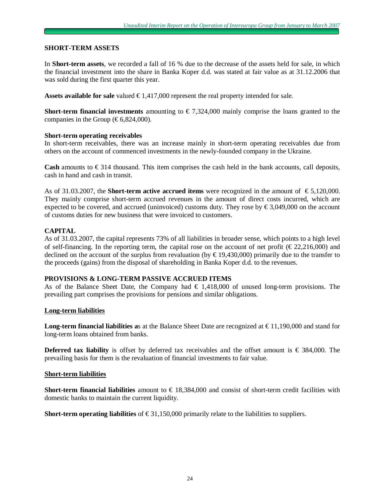### **SHORT-TERM ASSETS**

In **Short-term assets**, we recorded a fall of 16 % due to the decrease of the assets held for sale, in which the financial investment into the share in Banka Koper d.d. was stated at fair value as at 31.12.2006 that was sold during the first quarter this year.

**Assets available for sale** valued € 1,417,000 represent the real property intended for sale.

**Short-term financial investments** amounting to  $\epsilon$  7,324,000 mainly comprise the loans granted to the companies in the Group ( $\text{\textsterling}6,824,000$ ).

### **Short-term operating receivables**

In short-term receivables, there was an increase mainly in short-term operating receivables due from others on the account of commenced investments in the newly-founded company in the Ukraine.

**Cash** amounts to  $\epsilon$  314 thousand. This item comprises the cash held in the bank accounts, call deposits, cash in hand and cash in transit.

As of 31.03.2007, the **Short-term active accrued items** were recognized in the amount of € 5,120,000. They mainly comprise short-term accrued revenues in the amount of direct costs incurred, which are expected to be covered, and accrued (uninvoiced) customs duty. They rose by  $\epsilon$ 3,049,000 on the account of customs duties for new business that were invoiced to customers.

### **CAPITAL**

As of 31.03.2007, the capital represents 73% of all liabilities in broader sense, which points to a high level of self-financing. In the reporting term, the capital rose on the account of net profit ( $\epsilon$ 22,216,000) and declined on the account of the surplus from revaluation (by  $\epsilon$ 19,430,000) primarily due to the transfer to the proceeds (gains) from the disposal of shareholding in Banka Koper d.d. to the revenues.

### **PROVISIONS & LONG-TERM PASSIVE ACCRUED ITEMS**

As of the Balance Sheet Date, the Company had  $\in 1,418,000$  of unused long-term provisions. The prevailing part comprises the provisions for pensions and similar obligations.

#### **Long-term liabilities**

**Long-term financial liabilities a**s at the Balance Sheet Date are recognized at € 11,190,000 and stand for long-term loans obtained from banks.

**Deferred tax liability** is offset by deferred tax receivables and the offset amount is  $\in$  384,000. The prevailing basis for them is the revaluation of financial investments to fair value.

#### **Short-term liabilities**

**Short-term financial liabilities** amount to  $\in$  18,384,000 and consist of short-term credit facilities with domestic banks to maintain the current liquidity.

**Short-term operating liabilities** of  $\epsilon$ 31,150,000 primarily relate to the liabilities to suppliers.